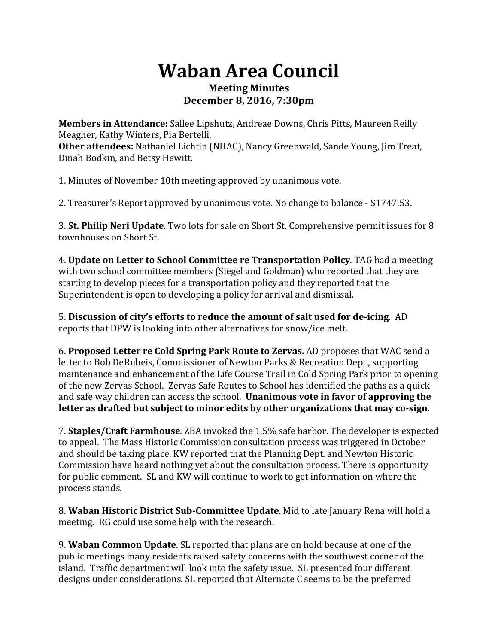## **Waban Area Council Meeting Minutes December 8, 2016, 7:30pm**

**Members in Attendance:** Sallee Lipshutz, Andreae Downs, Chris Pitts, Maureen Reilly Meagher, Kathy Winters, Pia Bertelli. **Other attendees:** Nathaniel Lichtin (NHAC), Nancy Greenwald, Sande Young, Jim Treat, Dinah Bodkin, and Betsy Hewitt.

1. Minutes of November 10th meeting approved by unanimous vote.

2. Treasurer's Report approved by unanimous vote. No change to balance - \$1747.53.

**3. St. Philip Neri Update**. Two lots for sale on Short St. Comprehensive permit issues for 8 townhouses on Short St.

4. **Update on Letter to School Committee re Transportation Policy**. TAG had a meeting with two school committee members (Siegel and Goldman) who reported that they are starting to develop pieces for a transportation policy and they reported that the Superintendent is open to developing a policy for arrival and dismissal.

5. **Discussion of city's efforts to reduce the amount of salt used for de-icing**. AD reports that DPW is looking into other alternatives for snow/ice melt.

6. **Proposed Letter re Cold Spring Park Route to Zervas.** AD proposes that WAC send a letter to Bob DeRubeis, Commissioner of Newton Parks & Recreation Dept., supporting maintenance and enhancement of the Life Course Trail in Cold Spring Park prior to opening of the new Zervas School. Zervas Safe Routes to School has identified the paths as a quick and safe way children can access the school. **Unanimous vote in favor of approving the** letter as drafted but subject to minor edits by other organizations that may co-sign.

7. **Staples/Craft Farmhouse**. ZBA invoked the 1.5% safe harbor. The developer is expected to appeal. The Mass Historic Commission consultation process was triggered in October and should be taking place. KW reported that the Planning Dept. and Newton Historic Commission have heard nothing yet about the consultation process. There is opportunity for public comment. SL and KW will continue to work to get information on where the process stands.

8. Waban Historic District Sub-Committee Update. Mid to late January Rena will hold a meeting. RG could use some help with the research.

9. **Waban Common Update**. SL reported that plans are on hold because at one of the public meetings many residents raised safety concerns with the southwest corner of the island. Traffic department will look into the safety issue. SL presented four different designs under considerations. SL reported that Alternate C seems to be the preferred